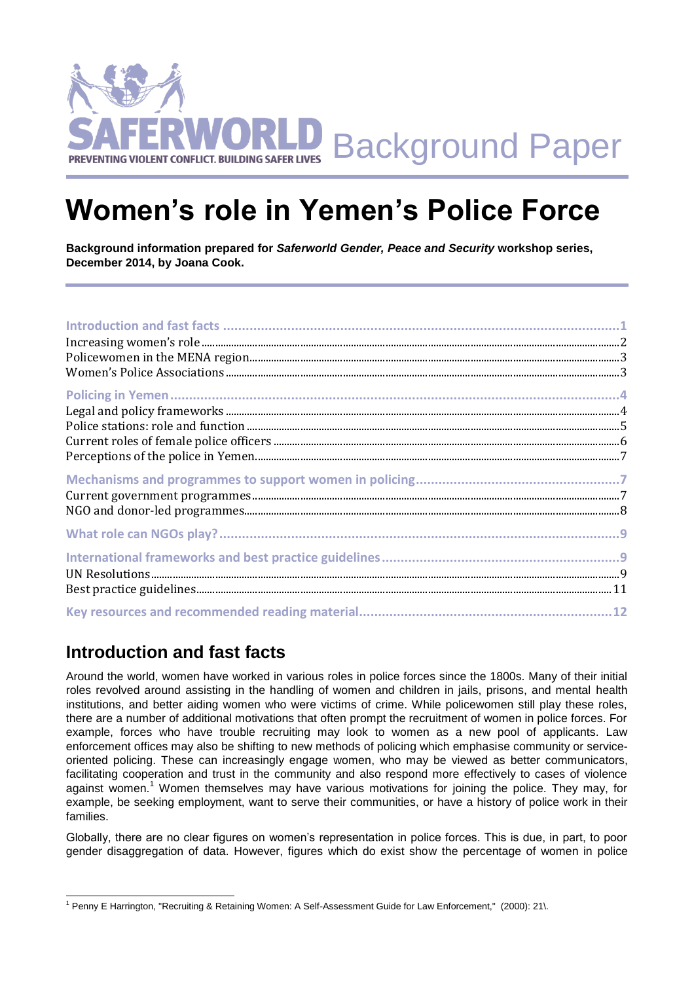

# **Women's role in Yemen's Police Force**

**Background information prepared for** *Saferworld Gender, Peace and Security* **workshop series, December 2014, by Joana Cook.**

# **Introduction and fast facts**

Around the world, women have worked in various roles in police forces since the 1800s. Many of their initial roles revolved around assisting in the handling of women and children in jails, prisons, and mental health institutions, and better aiding women who were victims of crime. While policewomen still play these roles, there are a number of additional motivations that often prompt the recruitment of women in police forces. For example, forces who have trouble recruiting may look to women as a new pool of applicants. Law enforcement offices may also be shifting to new methods of policing which emphasise community or serviceoriented policing. These can increasingly engage women, who may be viewed as better communicators, facilitating cooperation and trust in the community and also respond more effectively to cases of violence against women.<sup>1</sup> Women themselves may have various motivations for joining the police. They may, for example, be seeking employment, want to serve their communities, or have a history of police work in their families.

Globally, there are no clear figures on women's representation in police forces. This is due, in part, to poor gender disaggregation of data. However, figures which do exist show the percentage of women in police

l <sup>1</sup> Penny E Harrington, "Recruiting & Retaining Women: A Self-Assessment Guide for Law Enforcement," (2000): 21\.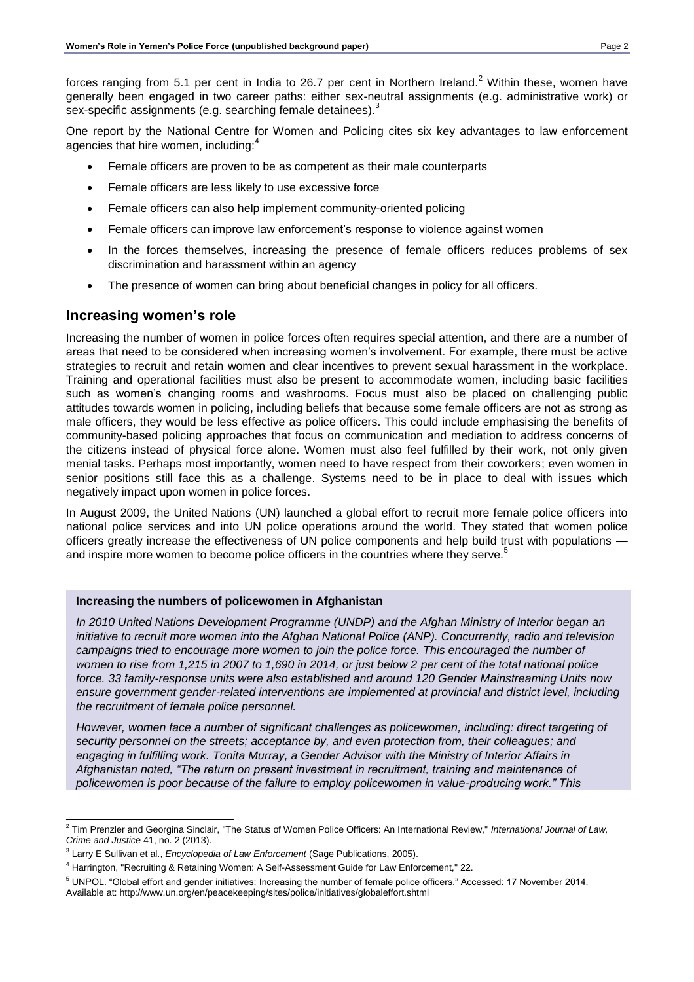forces ranging from 5.1 per cent in India to 26.7 per cent in Northern Ireland.<sup>2</sup> Within these, women have generally been engaged in two career paths: either sex-neutral assignments (e.g. administrative work) or sex-specific assignments (e.g. searching female detainees).<sup>3</sup>

One report by the National Centre for Women and Policing cites six key advantages to law enforcement agencies that hire women, including: $^{\rm 4}$ 

- Female officers are proven to be as competent as their male counterparts
- Female officers are less likely to use excessive force
- Female officers can also help implement community-oriented policing
- Female officers can improve law enforcement's response to violence against women
- In the forces themselves, increasing the presence of female officers reduces problems of sex discrimination and harassment within an agency
- The presence of women can bring about beneficial changes in policy for all officers.

### **Increasing women's role**

Increasing the number of women in police forces often requires special attention, and there are a number of areas that need to be considered when increasing women's involvement. For example, there must be active strategies to recruit and retain women and clear incentives to prevent sexual harassment in the workplace. Training and operational facilities must also be present to accommodate women, including basic facilities such as women's changing rooms and washrooms. Focus must also be placed on challenging public attitudes towards women in policing, including beliefs that because some female officers are not as strong as male officers, they would be less effective as police officers. This could include emphasising the benefits of community-based policing approaches that focus on communication and mediation to address concerns of the citizens instead of physical force alone. Women must also feel fulfilled by their work, not only given menial tasks. Perhaps most importantly, women need to have respect from their coworkers; even women in senior positions still face this as a challenge. Systems need to be in place to deal with issues which negatively impact upon women in police forces.

In August 2009, the United Nations (UN) launched a global effort to recruit more female police officers into national police services and into UN police operations around the world. They stated that women police officers greatly increase the effectiveness of UN police components and help build trust with populations and inspire more women to become police officers in the countries where they serve.<sup>5</sup>

#### **Increasing the numbers of policewomen in Afghanistan**

*In 2010 United Nations Development Programme (UNDP) and the Afghan Ministry of Interior began an initiative to recruit more women into the Afghan National Police (ANP). Concurrently, radio and television campaigns tried to encourage more women to join the police force. This encouraged the number of women to rise from 1,215 in 2007 to 1,690 in 2014, or just below 2 per cent of the total national police force. 33 family-response units were also established and around 120 Gender Mainstreaming Units now ensure government gender-related interventions are implemented at provincial and district level, including the recruitment of female police personnel.* 

*However, women face a number of significant challenges as policewomen, including: direct targeting of security personnel on the streets; acceptance by, and even protection from, their colleagues; and engaging in fulfilling work. Tonita Murray, a Gender Advisor with the Ministry of Interior Affairs in Afghanistan noted, "The return on present investment in recruitment, training and maintenance of policewomen is poor because of the failure to employ policewomen in value-producing work." This* 

 2 Tim Prenzler and Georgina Sinclair, "The Status of Women Police Officers: An International Review," *International Journal of Law, Crime and Justice* 41, no. 2 (2013).

<sup>3</sup> Larry E Sullivan et al., *Encyclopedia of Law Enforcement* (Sage Publications, 2005).

<sup>4</sup> Harrington, "Recruiting & Retaining Women: A Self-Assessment Guide for Law Enforcement," 22.

<sup>5</sup> UNPOL. "Global effort and gender initiatives: Increasing the number of female police officers." Accessed: 17 November 2014. Available at: http://www.un.org/en/peacekeeping/sites/police/initiatives/globaleffort.shtml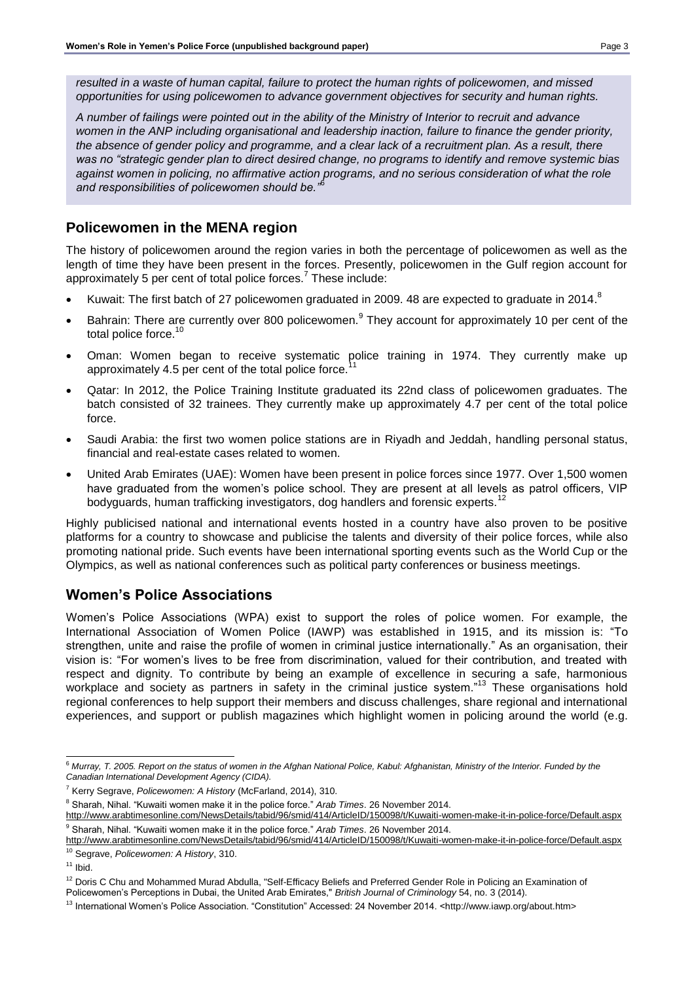*resulted in a waste of human capital, failure to protect the human rights of policewomen, and missed opportunities for using policewomen to advance government objectives for security and human rights.* 

*A number of failings were pointed out in the ability of the Ministry of Interior to recruit and advance women in the ANP including organisational and leadership inaction, failure to finance the gender priority, the absence of gender policy and programme, and a clear lack of a recruitment plan. As a result, there was no "strategic gender plan to direct desired change, no programs to identify and remove systemic bias against women in policing, no affirmative action programs, and no serious consideration of what the role and responsibilities of policewomen should be."*<sup>6</sup>

# **Policewomen in the MENA region**

The history of policewomen around the region varies in both the percentage of policewomen as well as the length of time they have been present in the forces. Presently, policewomen in the Gulf region account for approximately 5 per cent of total police forces.<sup>7</sup> These include:

- Kuwait: The first batch of 27 policewomen graduated in 2009. 48 are expected to graduate in 2014.
- Bahrain: There are currently over 800 policewomen.<sup>9</sup> They account for approximately 10 per cent of the total police force.<sup>10</sup>
- Oman: Women began to receive systematic police training in 1974. They currently make up approximately 4.5 per cent of the total police force.
- Qatar: In 2012, the Police Training Institute graduated its 22nd class of policewomen graduates. The batch consisted of 32 trainees. They currently make up approximately 4.7 per cent of the total police force.
- Saudi Arabia: the first two women police stations are in Riyadh and Jeddah, handling personal status, financial and real-estate cases related to women.
- United Arab Emirates (UAE): Women have been present in police forces since 1977. Over 1,500 women have graduated from the women's police school. They are present at all levels as patrol officers, VIP bodyguards, human trafficking investigators, dog handlers and forensic experts.<sup>12</sup>

Highly publicised national and international events hosted in a country have also proven to be positive platforms for a country to showcase and publicise the talents and diversity of their police forces, while also promoting national pride. Such events have been international sporting events such as the World Cup or the Olympics, as well as national conferences such as political party conferences or business meetings.

# **Women's Police Associations**

Women's Police Associations (WPA) exist to support the roles of police women. For example, the International Association of Women Police (IAWP) was established in 1915, and its mission is: "To strengthen, unite and raise the profile of women in criminal justice internationally." As an organisation, their vision is: "For women's lives to be free from discrimination, valued for their contribution, and treated with respect and dignity. To contribute by being an example of excellence in securing a safe, harmonious workplace and society as partners in safety in the criminal justice system."<sup>13</sup> These organisations hold regional conferences to help support their members and discuss challenges, share regional and international experiences, and support or publish magazines which highlight women in policing around the world (e.g.

 $11$  Ibid.

l  $^6$  Murray, T. 2005. Report on the status of women in the Afghan National Police, Kabul: Afghanistan, Ministry of the Interior. Funded by the *Canadian International Development Agency (CIDA).*

<sup>7</sup> Kerry Segrave, *Policewomen: A History* (McFarland, 2014), 310.

<sup>8</sup> Sharah, Nihal. "Kuwaiti women make it in the police force." *Arab Times*. 26 November 2014.

<http://www.arabtimesonline.com/NewsDetails/tabid/96/smid/414/ArticleID/150098/t/Kuwaiti-women-make-it-in-police-force/Default.aspx> <sup>9</sup> Sharah, Nihal. "Kuwaiti women make it in the police force." *Arab Times*. 26 November 2014.

<http://www.arabtimesonline.com/NewsDetails/tabid/96/smid/414/ArticleID/150098/t/Kuwaiti-women-make-it-in-police-force/Default.aspx> <sup>10</sup> Segrave, *Policewomen: A History*, 310.

<sup>&</sup>lt;sup>12</sup> Doris C Chu and Mohammed Murad Abdulla, "Self-Efficacy Beliefs and Preferred Gender Role in Policing an Examination of Policewomen's Perceptions in Dubai, the United Arab Emirates," *British Journal of Criminology* 54, no. 3 (2014).

<sup>&</sup>lt;sup>13</sup> International Women's Police Association. "Constitution" Accessed: 24 November 2014. <http://www.iawp.org/about.htm>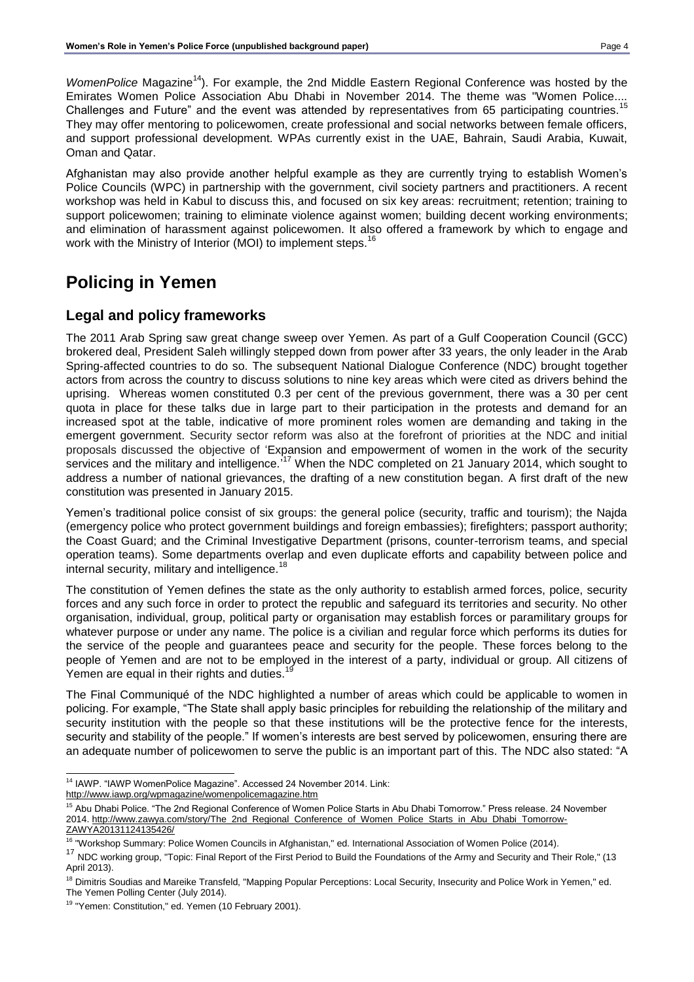*WomenPolice* Magazine<sup>14</sup>). For example, the 2nd Middle Eastern Regional Conference was hosted by the Emirates Women Police Association Abu Dhabi in November 2014. The theme was "Women Police.... Challenges and Future" and the event was attended by representatives from 65 participating countries.<sup>15</sup> They may offer mentoring to policewomen, create professional and social networks between female officers, and support professional development. WPAs currently exist in the UAE, Bahrain, Saudi Arabia, Kuwait, Oman and Qatar.

Afghanistan may also provide another helpful example as they are currently trying to establish Women's Police Councils (WPC) in partnership with the government, civil society partners and practitioners. A recent workshop was held in Kabul to discuss this, and focused on six key areas: recruitment; retention; training to support policewomen; training to eliminate violence against women; building decent working environments; and elimination of harassment against policewomen. It also offered a framework by which to engage and work with the Ministry of Interior (MOI) to implement steps.<sup>16</sup>

# **Policing in Yemen**

### **Legal and policy frameworks**

The 2011 Arab Spring saw great change sweep over Yemen. As part of a Gulf Cooperation Council (GCC) brokered deal, President Saleh willingly stepped down from power after 33 years, the only leader in the Arab Spring-affected countries to do so. The subsequent National Dialogue Conference (NDC) brought together actors from across the country to discuss solutions to nine key areas which were cited as drivers behind the uprising. Whereas women constituted 0.3 per cent of the previous government, there was a 30 per cent quota in place for these talks due in large part to their participation in the protests and demand for an increased spot at the table, indicative of more prominent roles women are demanding and taking in the emergent government. Security sector reform was also at the forefront of priorities at the NDC and initial proposals discussed the objective of 'Expansion and empowerment of women in the work of the security services and the military and intelligence.'<sup>17</sup> When the NDC completed on 21 January 2014, which sought to address a number of national grievances, the drafting of a new constitution began. A first draft of the new constitution was presented in January 2015.

Yemen's traditional police consist of six groups: the general police (security, traffic and tourism); the Najda (emergency police who protect government buildings and foreign embassies); firefighters; passport authority; the Coast Guard; and the Criminal Investigative Department (prisons, counter-terrorism teams, and special operation teams). Some departments overlap and even duplicate efforts and capability between police and internal security, military and intelligence.<sup>18</sup>

The constitution of Yemen defines the state as the only authority to establish armed forces, police, security forces and any such force in order to protect the republic and safeguard its territories and security. No other organisation, individual, group, political party or organisation may establish forces or paramilitary groups for whatever purpose or under any name. The police is a civilian and regular force which performs its duties for the service of the people and guarantees peace and security for the people. These forces belong to the people of Yemen and are not to be employed in the interest of a party, individual or group. All citizens of Yemen are equal in their rights and duties.<sup>19</sup>

The Final Communiqué of the NDC highlighted a number of areas which could be applicable to women in policing. For example, "The State shall apply basic principles for rebuilding the relationship of the military and security institution with the people so that these institutions will be the protective fence for the interests, security and stability of the people." If women's interests are best served by policewomen, ensuring there are an adequate number of policewomen to serve the public is an important part of this. The NDC also stated: "A

l <sup>14</sup> IAWP. "IAWP WomenPolice Magazine". Accessed 24 November 2014. Link: <http://www.iawp.org/wpmagazine/womenpolicemagazine.htm>

<sup>&</sup>lt;sup>15</sup> Abu Dhabi Police. "The 2nd Regional Conference of Women Police Starts in Abu Dhabi Tomorrow." Press release. 24 November 2014. [http://www.zawya.com/story/The\\_2nd\\_Regional\\_Conference\\_of\\_Women\\_Police\\_Starts\\_in\\_Abu\\_Dhabi\\_Tomorrow-](http://www.zawya.com/story/The_2nd_Regional_Conference_of_Women_Police_Starts_in_Abu_Dhabi_Tomorrow-ZAWYA20131124135426/)[ZAWYA20131124135426/](http://www.zawya.com/story/The_2nd_Regional_Conference_of_Women_Police_Starts_in_Abu_Dhabi_Tomorrow-ZAWYA20131124135426/)

<sup>&</sup>lt;sup>16</sup> "Workshop Summary: Police Women Councils in Afghanistan," ed. International Association of Women Police (2014).

<sup>&</sup>lt;sup>17</sup> NDC working group, "Topic: Final Report of the First Period to Build the Foundations of the Army and Security and Their Role," (13 April 2013).

<sup>&</sup>lt;sup>18</sup> Dimitris Soudias and Mareike Transfeld, "Mapping Popular Perceptions: Local Security, Insecurity and Police Work in Yemen," ed. The Yemen Polling Center (July 2014).

<sup>&</sup>lt;sup>19</sup> "Yemen: Constitution," ed. Yemen (10 February 2001).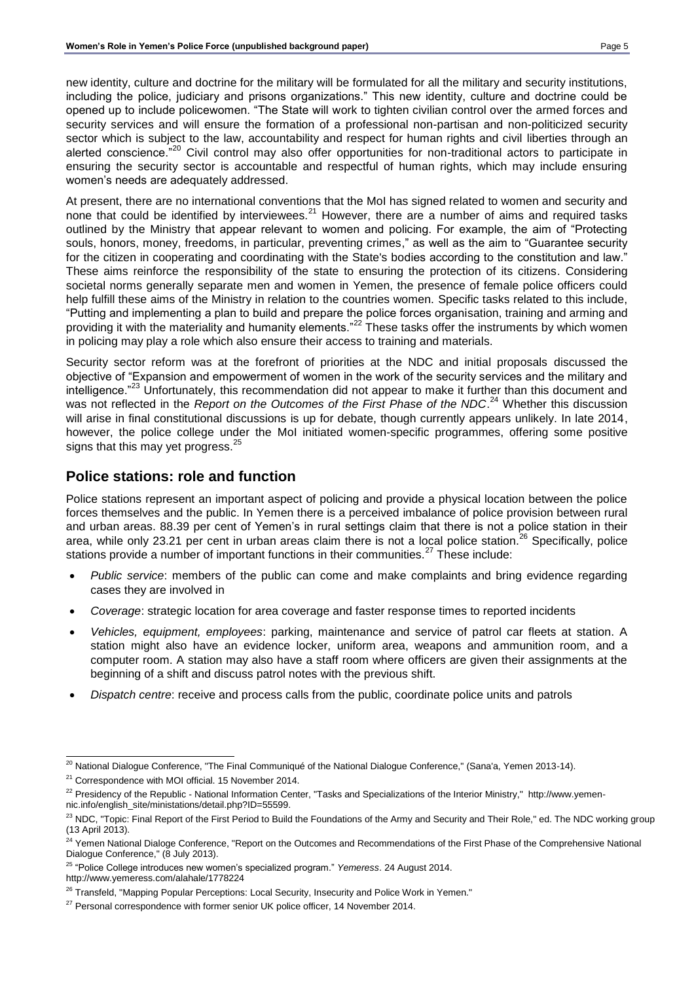new identity, culture and doctrine for the military will be formulated for all the military and security institutions, including the police, judiciary and prisons organizations." This new identity, culture and doctrine could be opened up to include policewomen. "The State will work to tighten civilian control over the armed forces and security services and will ensure the formation of a professional non-partisan and non-politicized security sector which is subject to the law, accountability and respect for human rights and civil liberties through an alerted conscience.<sup>"20</sup> Civil control may also offer opportunities for non-traditional actors to participate in ensuring the security sector is accountable and respectful of human rights, which may include ensuring women's needs are adequately addressed.

At present, there are no international conventions that the MoI has signed related to women and security and none that could be identified by interviewees.<sup>21</sup> However, there are a number of aims and required tasks outlined by the Ministry that appear relevant to women and policing. For example, the aim of "Protecting souls, honors, money, freedoms, in particular, preventing crimes," as well as the aim to "Guarantee security for the citizen in cooperating and coordinating with the State's bodies according to the constitution and law." These aims reinforce the responsibility of the state to ensuring the protection of its citizens. Considering societal norms generally separate men and women in Yemen, the presence of female police officers could help fulfill these aims of the Ministry in relation to the countries women. Specific tasks related to this include, "Putting and implementing a plan to build and prepare the police forces organisation, training and arming and providing it with the materiality and humanity elements."<sup>22</sup> These tasks offer the instruments by which women in policing may play a role which also ensure their access to training and materials.

Security sector reform was at the forefront of priorities at the NDC and initial proposals discussed the objective of "Expansion and empowerment of women in the work of the security services and the military and intelligence.<sup>"23</sup> Unfortunately, this recommendation did not appear to make it further than this document and was not reflected in the *Report on the Outcomes of the First Phase of the NDC*.<sup>24</sup> Whether this discussion will arise in final constitutional discussions is up for debate, though currently appears unlikely. In late 2014, however, the police college under the MoI initiated women-specific programmes, offering some positive signs that this may yet progress.<sup>25</sup>

### **Police stations: role and function**

Police stations represent an important aspect of policing and provide a physical location between the police forces themselves and the public. In Yemen there is a perceived imbalance of police provision between rural and urban areas. 88.39 per cent of Yemen's in rural settings claim that there is not a police station in their area, while only 23.21 per cent in urban areas claim there is not a local police station.<sup>26</sup> Specifically, police stations provide a number of important functions in their communities.<sup>27</sup> These include:

- *Public service*: members of the public can come and make complaints and bring evidence regarding cases they are involved in
- *Coverage*: strategic location for area coverage and faster response times to reported incidents
- *Vehicles, equipment, employees*: parking, maintenance and service of patrol car fleets at station. A station might also have an evidence locker, uniform area, weapons and ammunition room, and a computer room. A station may also have a staff room where officers are given their assignments at the beginning of a shift and discuss patrol notes with the previous shift.
- *Dispatch centre*: receive and process calls from the public, coordinate police units and patrols

l  $^{20}$  National Dialogue Conference, "The Final Communiqué of the National Dialogue Conference," (Sana'a, Yemen 2013-14).

<sup>&</sup>lt;sup>21</sup> Correspondence with MOI official. 15 November 2014.

<sup>&</sup>lt;sup>22</sup> Presidency of the Republic - National Information Center, "Tasks and Specializations of the Interior Ministry," http://www.yemennic.info/english\_site/ministations/detail.php?ID=55599.

<sup>&</sup>lt;sup>23</sup> NDC, "Topic: Final Report of the First Period to Build the Foundations of the Army and Security and Their Role," ed. The NDC working group (13 April 2013).

<sup>&</sup>lt;sup>24</sup> Yemen National Dialoge Conference, "Report on the Outcomes and Recommendations of the First Phase of the Comprehensive National Dialogue Conference," (8 July 2013).

<sup>25</sup> "Police College introduces new women's specialized program." *Yemeress*. 24 August 2014. http://www.yemeress.com/alahale/1778224

<sup>&</sup>lt;sup>26</sup> Transfeld, "Mapping Popular Perceptions: Local Security, Insecurity and Police Work in Yemen."

 $27$  Personal correspondence with former senior UK police officer, 14 November 2014.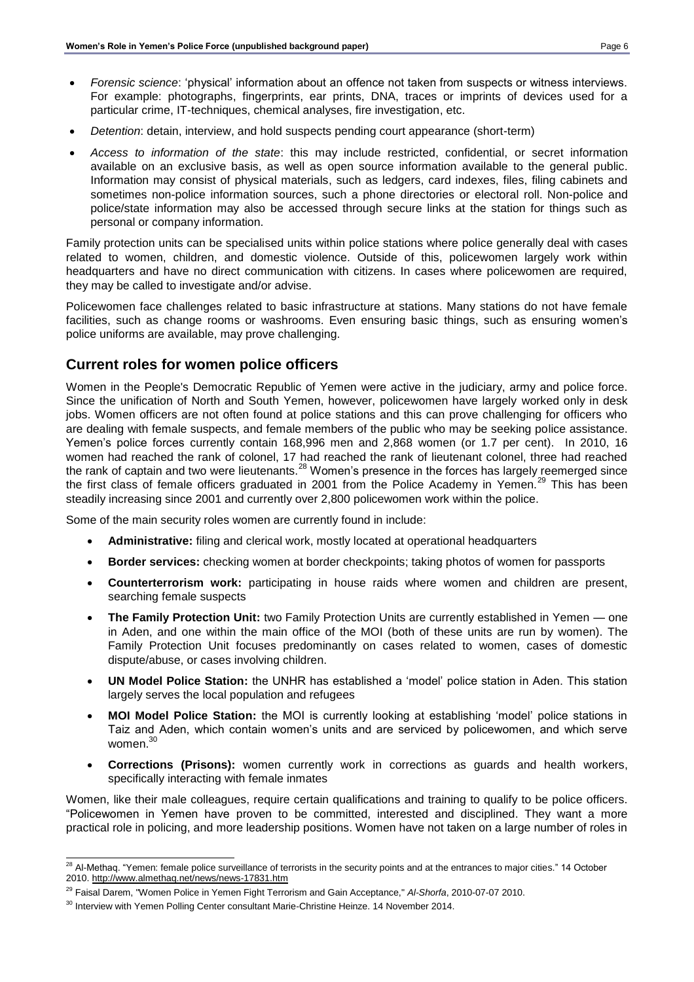- *Forensic science*: 'physical' information about an offence not taken from suspects or witness interviews. For example: photographs, fingerprints, ear prints, DNA, traces or imprints of devices used for a particular crime, IT-techniques, chemical analyses, fire investigation, etc.
- *Detention*: detain, interview, and hold suspects pending court appearance (short-term)
- *Access to information of the state*: this may include restricted, confidential, or secret information available on an exclusive basis, as well as open source information available to the general public. Information may consist of physical materials, such as ledgers, card indexes, files, filing cabinets and sometimes non-police information sources, such a phone directories or electoral roll. Non-police and police/state information may also be accessed through secure links at the station for things such as personal or company information.

Family protection units can be specialised units within police stations where police generally deal with cases related to women, children, and domestic violence. Outside of this, policewomen largely work within headquarters and have no direct communication with citizens. In cases where policewomen are required, they may be called to investigate and/or advise.

Policewomen face challenges related to basic infrastructure at stations. Many stations do not have female facilities, such as change rooms or washrooms. Even ensuring basic things, such as ensuring women's police uniforms are available, may prove challenging.

# **Current roles for women police officers**

Women in the People's Democratic Republic of Yemen were active in the judiciary, army and police force. Since the unification of North and South Yemen, however, policewomen have largely worked only in desk jobs. Women officers are not often found at police stations and this can prove challenging for officers who are dealing with female suspects, and female members of the public who may be seeking police assistance. Yemen's police forces currently contain 168,996 men and 2,868 women (or 1.7 per cent). In 2010, 16 women had reached the rank of colonel, 17 had reached the rank of lieutenant colonel, three had reached the rank of captain and two were lieutenants.<sup>28</sup> Women's presence in the forces has largely reemerged since the first class of female officers graduated in 2001 from the Police Academy in Yemen.<sup>29</sup> This has been steadily increasing since 2001 and currently over 2,800 policewomen work within the police.

Some of the main security roles women are currently found in include:

- **Administrative:** filing and clerical work, mostly located at operational headquarters
- **Border services:** checking women at border checkpoints; taking photos of women for passports
- **Counterterrorism work:** participating in house raids where women and children are present, searching female suspects
- **The Family Protection Unit:** two Family Protection Units are currently established in Yemen one in Aden, and one within the main office of the MOI (both of these units are run by women). The Family Protection Unit focuses predominantly on cases related to women, cases of domestic dispute/abuse, or cases involving children.
- **UN Model Police Station:** the UNHR has established a 'model' police station in Aden. This station largely serves the local population and refugees
- **MOI Model Police Station:** the MOI is currently looking at establishing 'model' police stations in Taiz and Aden, which contain women's units and are serviced by policewomen, and which serve women.<sup>30</sup>
- **Corrections (Prisons):** women currently work in corrections as guards and health workers, specifically interacting with female inmates

Women, like their male colleagues, require certain qualifications and training to qualify to be police officers. "Policewomen in Yemen have proven to be committed, interested and disciplined. They want a more practical role in policing, and more leadership positions. Women have not taken on a large number of roles in

l  $^{28}$  Al-Methaq. ["Yemen: female police surveillance of terrorists in the security points and at the entrances to major cities."](http://translate.googleusercontent.com/translate_c?depth=1&hl=en&rurl=translate.google.com&sl=ar&tl=en&u=http://www.almethaq.net/news/news-17831.htm&usg=ALkJrhgaZ9xIg6Xt3cMNIwlS1QFzBD6t-g) 14 October 2010.<http://www.almethaq.net/news/news-17831.htm>

<sup>29</sup> Faisal Darem, "Women Police in Yemen Fight Terrorism and Gain Acceptance," *Al-Shorfa*, 2010-07-07 2010.

<sup>&</sup>lt;sup>30</sup> Interview with Yemen Polling Center consultant Marie-Christine Heinze. 14 November 2014.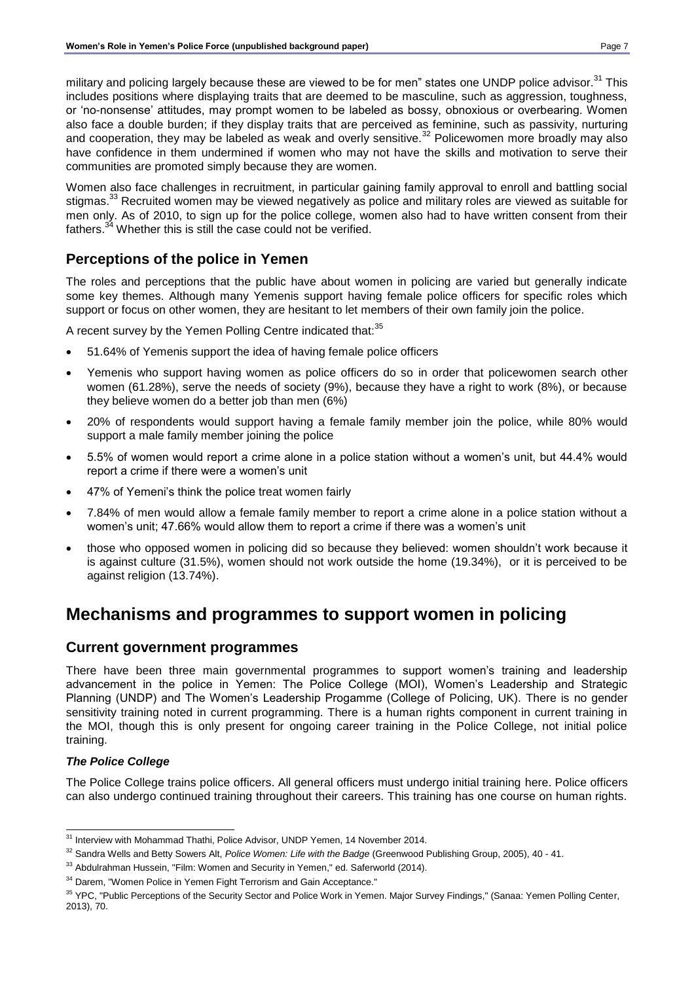military and policing largely because these are viewed to be for men" states one UNDP police advisor.<sup>31</sup> This includes positions where displaying traits that are deemed to be masculine, such as aggression, toughness, or 'no-nonsense' attitudes, may prompt women to be labeled as bossy, obnoxious or overbearing. Women also face a double burden; if they display traits that are perceived as feminine, such as passivity, nurturing and cooperation, they may be labeled as weak and overly sensitive.<sup>32</sup> Policewomen more broadly may also have confidence in them undermined if women who may not have the skills and motivation to serve their communities are promoted simply because they are women.

Women also face challenges in recruitment, in particular gaining family approval to enroll and battling social stigmas.<sup>33</sup> Recruited women may be viewed negatively as police and military roles are viewed as suitable for men only. As of 2010, to sign up for the police college, women also had to have written consent from their fathers.<sup>34</sup> Whether this is still the case could not be verified.

# **Perceptions of the police in Yemen**

The roles and perceptions that the public have about women in policing are varied but generally indicate some key themes. Although many Yemenis support having female police officers for specific roles which support or focus on other women, they are hesitant to let members of their own family join the police.

A recent survey by the Yemen Polling Centre indicated that:<sup>35</sup>

- 51.64% of Yemenis support the idea of having female police officers
- Yemenis who support having women as police officers do so in order that policewomen search other women (61.28%), serve the needs of society (9%), because they have a right to work (8%), or because they believe women do a better job than men (6%)
- 20% of respondents would support having a female family member join the police, while 80% would support a male family member joining the police
- 5.5% of women would report a crime alone in a police station without a women's unit, but 44.4% would report a crime if there were a women's unit
- 47% of Yemeni's think the police treat women fairly
- 7.84% of men would allow a female family member to report a crime alone in a police station without a women's unit; 47.66% would allow them to report a crime if there was a women's unit
- those who opposed women in policing did so because they believed: women shouldn't work because it is against culture (31.5%), women should not work outside the home (19.34%), or it is perceived to be against religion (13.74%).

# **Mechanisms and programmes to support women in policing**

### **Current government programmes**

There have been three main governmental programmes to support women's training and leadership advancement in the police in Yemen: The Police College (MOI), Women's Leadership and Strategic Planning (UNDP) and The Women's Leadership Progamme (College of Policing, UK). There is no gender sensitivity training noted in current programming. There is a human rights component in current training in the MOI, though this is only present for ongoing career training in the Police College, not initial police training.

### *The Police College*

The Police College trains police officers. All general officers must undergo initial training here. Police officers can also undergo continued training throughout their careers. This training has one course on human rights.

l <sup>31</sup> Interview with Mohammad Thathi, Police Advisor, UNDP Yemen, 14 November 2014.

<sup>32</sup> Sandra Wells and Betty Sowers Alt, *Police Women: Life with the Badge* (Greenwood Publishing Group, 2005), 40 - 41.

<sup>&</sup>lt;sup>33</sup> Abdulrahman Hussein, "Film: Women and Security in Yemen," ed. Saferworld (2014).

<sup>&</sup>lt;sup>34</sup> Darem, "Women Police in Yemen Fight Terrorism and Gain Acceptance."

<sup>&</sup>lt;sup>35</sup> YPC, "Public Perceptions of the Security Sector and Police Work in Yemen. Major Survey Findings," (Sanaa: Yemen Polling Center, 2013), 70.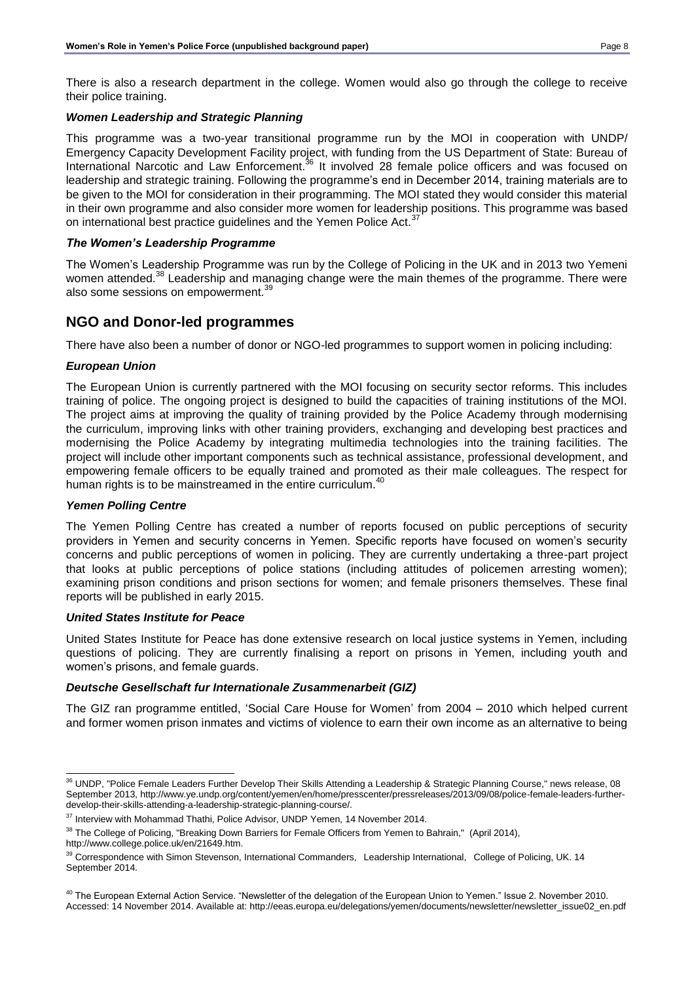There is also a research department in the college. Women would also go through the college to receive their police training.

#### *Women Leadership and Strategic Planning*

This programme was a two-year transitional programme run by the MOI in cooperation with UNDP/ Emergency Capacity Development Facility project, with funding from the US Department of State: Bureau of International Narcotic and Law Enforcement.<sup>36</sup> It involved 28 female police officers and was focused on leadership and strategic training. Following the programme's end in December 2014, training materials are to be given to the MOI for consideration in their programming. The MOI stated they would consider this material in their own programme and also consider more women for leadership positions. This programme was based on international best practice guidelines and the Yemen Police Act.<sup>37</sup>

#### *The Women's Leadership Programme*

The Women's Leadership Programme was run by the College of Policing in the UK and in 2013 two Yemeni women attended.<sup>38</sup> Leadership and managing change were the main themes of the programme. There were also some sessions on empowerment.<sup>39</sup>

# **NGO and Donor-led programmes**

There have also been a number of donor or NGO-led programmes to support women in policing including:

#### *European Union*

The European Union is currently partnered with the MOI focusing on security sector reforms. This includes training of police. The ongoing project is designed to build the capacities of training institutions of the MOI. The project aims at improving the quality of training provided by the Police Academy through modernising the curriculum, improving links with other training providers, exchanging and developing best practices and modernising the Police Academy by integrating multimedia technologies into the training facilities. The project will include other important components such as technical assistance, professional development, and empowering female officers to be equally trained and promoted as their male colleagues. The respect for human rights is to be mainstreamed in the entire curriculum.<sup>40</sup>

#### *Yemen Polling Centre*

The Yemen Polling Centre has created a number of reports focused on public perceptions of security providers in Yemen and security concerns in Yemen. Specific reports have focused on women's security concerns and public perceptions of women in policing. They are currently undertaking a three-part project that looks at public perceptions of police stations (including attitudes of policemen arresting women); examining prison conditions and prison sections for women; and female prisoners themselves. These final reports will be published in early 2015.

#### *United States Institute for Peace*

United States Institute for Peace has done extensive research on local justice systems in Yemen, including questions of policing. They are currently finalising a report on prisons in Yemen, including youth and women's prisons, and female guards.

#### *Deutsche Gesellschaft fur Internationale Zusammenarbeit (GIZ)*

The GIZ ran programme entitled, 'Social Care House for Women' from 2004 – 2010 which helped current and former women prison inmates and victims of violence to earn their own income as an alternative to being

l  $36$  UNDP, "Police Female Leaders Further Develop Their Skills Attending a Leadership & Strategic Planning Course," news release, 08 September 2013, http://www.ye.undp.org/content/yemen/en/home/presscenter/pressreleases/2013/09/08/police-female-leaders-furtherdevelop-their-skills-attending-a-leadership-strategic-planning-course/.

<sup>&</sup>lt;sup>37</sup> Interview with Mohammad Thathi, Police Advisor, UNDP Yemen, 14 November 2014.

<sup>&</sup>lt;sup>38</sup> The College of Policing, "Breaking Down Barriers for Female Officers from Yemen to Bahrain," (April 2014), http://www.college.police.uk/en/21649.htm.

<sup>&</sup>lt;sup>39</sup> Correspondence with Simon Stevenson, International Commanders, Leadership International, College of Policing, UK. 14 September 2014.

<sup>&</sup>lt;sup>40</sup> The European External Action Service. "Newsletter of the delegation of the European Union to Yemen." Issue 2. November 2010. Accessed: 14 November 2014. Available at: http://eeas.europa.eu/delegations/yemen/documents/newsletter/newsletter\_issue02\_en.pdf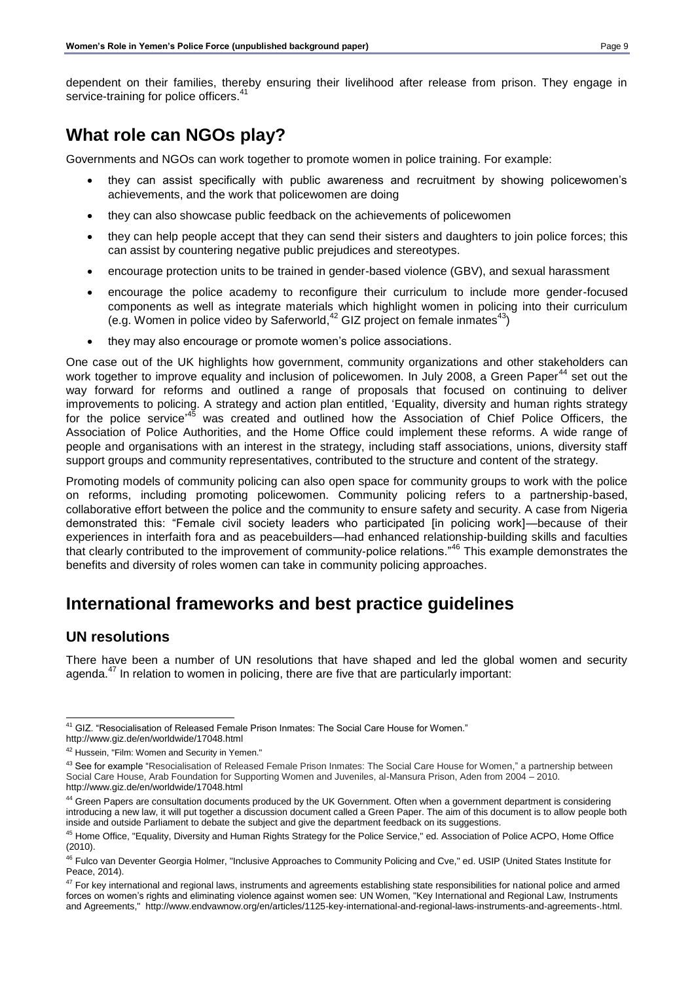dependent on their families, thereby ensuring their livelihood after release from prison. They engage in service-training for police officers.<sup>41</sup>

# **What role can NGOs play?**

Governments and NGOs can work together to promote women in police training. For example:

- they can assist specifically with public awareness and recruitment by showing policewomen's achievements, and the work that policewomen are doing
- they can also showcase public feedback on the achievements of policewomen
- they can help people accept that they can send their sisters and daughters to join police forces; this can assist by countering negative public prejudices and stereotypes.
- encourage protection units to be trained in gender-based violence (GBV), and sexual harassment
- encourage the police academy to reconfigure their curriculum to include more gender-focused components as well as integrate materials which highlight women in policing into their curriculum (e.g. Women in police video by Saferworld, $42$  GIZ project on female inmates $43$ )
- they may also encourage or promote women's police associations.

One case out of the UK highlights how government, community organizations and other stakeholders can work together to improve equality and inclusion of policewomen. In July 2008, a Green Paper<sup>44</sup> set out the way forward for reforms and outlined a range of proposals that focused on continuing to deliver improvements to policing. A strategy and action plan entitled, 'Equality, diversity and human rights strategy for the police service<sup>,45</sup> was created and outlined how the Association of Chief Police Officers, the Association of Police Authorities, and the Home Office could implement these reforms. A wide range of people and organisations with an interest in the strategy, including staff associations, unions, diversity staff support groups and community representatives, contributed to the structure and content of the strategy.

Promoting models of community policing can also open space for community groups to work with the police on reforms, including promoting policewomen. Community policing refers to a partnership-based, collaborative effort between the police and the community to ensure safety and security. A case from Nigeria demonstrated this: "Female civil society leaders who participated [in policing work]—because of their experiences in interfaith fora and as peacebuilders—had enhanced relationship-building skills and faculties that clearly contributed to the improvement of community-police relations."<sup>46</sup> This example demonstrates the benefits and diversity of roles women can take in community policing approaches.

# **International frameworks and best practice guidelines**

### **UN resolutions**

There have been a number of UN resolutions that have shaped and led the global women and security agenda. $47$  In relation to women in policing, there are five that are particularly important:

 $\overline{a}$ <sup>41</sup> GIZ. "Resocialisation of Released Female Prison Inmates: The Social Care House for Women."

http://www.giz.de/en/worldwide/17048.html

<sup>&</sup>lt;sup>42</sup> Hussein, "Film: Women and Security in Yemen."

<sup>&</sup>lt;sup>43</sup> See for example "Resocialisation of Released Female Prison Inmates: The Social Care House for Women," a partnership between Social Care House, Arab Foundation for Supporting Women and Juveniles, al-Mansura Prison, Aden from 2004 – 2010. http://www.giz.de/en/worldwide/17048.html

<sup>&</sup>lt;sup>44</sup> Green Papers are consultation documents produced by the UK Government. Often when a government department is considering introducing a new law, it will put together a discussion document called a Green Paper. The aim of this document is to allow people both inside and outside Parliament to debate the subject and give the department feedback on its suggestions.

<sup>45</sup> Home Office, "Equality, Diversity and Human Rights Strategy for the Police Service," ed. Association of Police ACPO, Home Office (2010).

<sup>&</sup>lt;sup>46</sup> Fulco van Deventer Georgia Holmer, "Inclusive Approaches to Community Policing and Cve," ed. USIP (United States Institute for Peace, 2014).

<sup>&</sup>lt;sup>47</sup> For key international and regional laws, instruments and agreements establishing state responsibilities for national police and armed forces on women's rights and eliminating violence against women see: UN Women, "Key International and Regional Law, Instruments and Agreements," http://www.endvawnow.org/en/articles/1125-key-international-and-regional-laws-instruments-and-agreements-.html.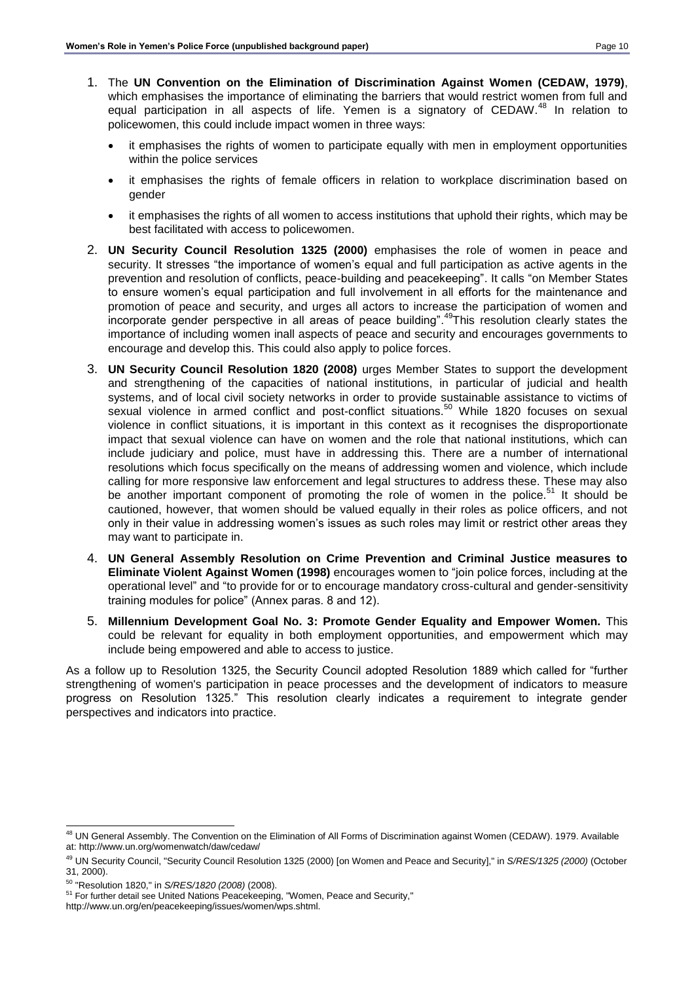- 1. The **UN Convention on the Elimination of Discrimination Against Women (CEDAW, 1979)**, which emphasises the importance of eliminating the barriers that would restrict women from full and equal participation in all aspects of life. Yemen is a signatory of CEDAW.<sup>48</sup> In relation to policewomen, this could include impact women in three ways:
	- it emphasises the rights of women to participate equally with men in employment opportunities within the police services
	- it emphasises the rights of female officers in relation to workplace discrimination based on gender
	- it emphasises the rights of all women to access institutions that uphold their rights, which may be best facilitated with access to policewomen.
- 2. **UN Security Council Resolution 1325 (2000)** emphasises the role of women in peace and security. It stresses "the importance of women's equal and full participation as active agents in the prevention and resolution of conflicts, peace-building and peacekeeping". It calls "on Member States to ensure women's equal participation and full involvement in all efforts for the maintenance and promotion of peace and security, and urges all actors to increase the participation of women and incorporate gender perspective in all areas of peace building".<sup>49</sup>This resolution clearly states the importance of including women inall aspects of peace and security and encourages governments to encourage and develop this. This could also apply to police forces.
- 3. **UN Security Council Resolution 1820 (2008)** urges Member States to support the development and strengthening of the capacities of national institutions, in particular of judicial and health systems, and of local civil society networks in order to provide sustainable assistance to victims of sexual violence in armed conflict and post-conflict situations.<sup>50</sup> While 1820 focuses on sexual violence in conflict situations, it is important in this context as it recognises the disproportionate impact that sexual violence can have on women and the role that national institutions, which can include judiciary and police, must have in addressing this. There are a number of international resolutions which focus specifically on the means of addressing women and violence, which include calling for more responsive law enforcement and legal structures to address these. These may also be another important component of promoting the role of women in the police.<sup>51</sup> It should be cautioned, however, that women should be valued equally in their roles as police officers, and not only in their value in addressing women's issues as such roles may limit or restrict other areas they may want to participate in.
- 4. **UN General Assembly Resolution on Crime Prevention and Criminal Justice measures to Eliminate Violent Against Women (1998)** encourages women to "join police forces, including at the operational level" and "to provide for or to encourage mandatory cross-cultural and gender-sensitivity training modules for police" (Annex paras. 8 and 12).
- 5. **Millennium Development Goal No. 3: Promote Gender Equality and Empower Women.** This could be relevant for equality in both employment opportunities, and empowerment which may include being empowered and able to access to justice.

As a follow up to Resolution 1325, the Security Council adopted Resolution 1889 which called for "further strengthening of women's participation in peace processes and the development of indicators to measure progress on Resolution 1325." This resolution clearly indicates a requirement to integrate gender perspectives and indicators into practice.

l <sup>48</sup> UN General Assembly. The Convention on the Elimination of All Forms of Discrimination against Women (CEDAW). 1979. Available at: http://www.un.org/womenwatch/daw/cedaw/

<sup>49</sup> UN Security Council, "Security Council Resolution 1325 (2000) [on Women and Peace and Security]," in *S/RES/1325 (2000)* (October 31, 2000).

<sup>50</sup> "Resolution 1820," in *S/RES/1820 (2008)* (2008).

<sup>51</sup> For further detail see United Nations Peacekeeping, "Women, Peace and Security,"

http://www.un.org/en/peacekeeping/issues/women/wps.shtml.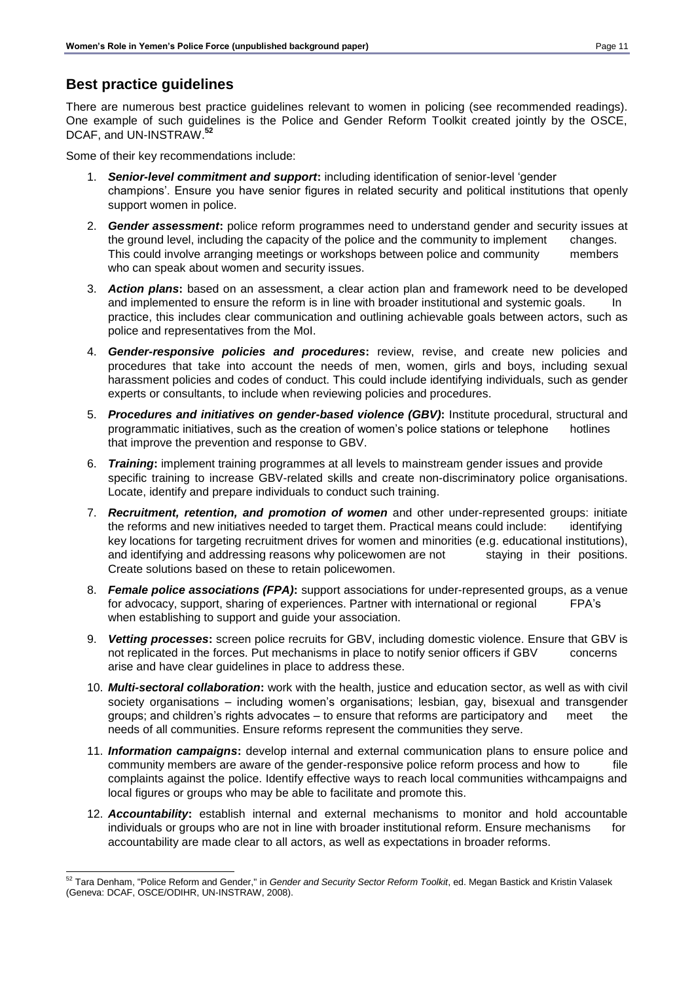# **Best practice guidelines**

There are numerous best practice guidelines relevant to women in policing (see recommended readings). One example of such guidelines is the Police and Gender Reform Toolkit created jointly by the OSCE, DCAF, and UN-INSTRAW.**<sup>52</sup>**

Some of their key recommendations include:

- 1. *Senior-level commitment and support***:** including identification of senior-level 'gender champions'. Ensure you have senior figures in related security and political institutions that openly support women in police.
- 2. *Gender assessment***:** police reform programmes need to understand gender and security issues at the ground level, including the capacity of the police and the community to implement changes. This could involve arranging meetings or workshops between police and community members who can speak about women and security issues.
- 3. *Action plans***:** based on an assessment, a clear action plan and framework need to be developed and implemented to ensure the reform is in line with broader institutional and systemic goals. In practice, this includes clear communication and outlining achievable goals between actors, such as police and representatives from the MoI.
- 4. *Gender-responsive policies and procedures***:** review, revise, and create new policies and procedures that take into account the needs of men, women, girls and boys, including sexual harassment policies and codes of conduct. This could include identifying individuals, such as gender experts or consultants, to include when reviewing policies and procedures.
- 5. *Procedures and initiatives on gender-based violence (GBV)***:** Institute procedural, structural and programmatic initiatives, such as the creation of women's police stations or telephone hotlines that improve the prevention and response to GBV.
- 6. *Training***:** implement training programmes at all levels to mainstream gender issues and provide specific training to increase GBV-related skills and create non-discriminatory police organisations. Locate, identify and prepare individuals to conduct such training.
- 7. *Recruitment, retention, and promotion of women* and other under-represented groups: initiate the reforms and new initiatives needed to target them. Practical means could include: identifying key locations for targeting recruitment drives for women and minorities (e.g. educational institutions), and identifying and addressing reasons why policewomen are not staying in their positions. Create solutions based on these to retain policewomen.
- 8. *Female police associations (FPA)***:** support associations for under-represented groups, as a venue for advocacy, support, sharing of experiences. Partner with international or regional FPA's when establishing to support and guide your association.
- 9. *Vetting processes***:** screen police recruits for GBV, including domestic violence. Ensure that GBV is not replicated in the forces. Put mechanisms in place to notify senior officers if GBV concerns arise and have clear guidelines in place to address these.
- 10. *Multi-sectoral collaboration***:** work with the health, justice and education sector, as well as with civil society organisations – including women's organisations; lesbian, gay, bisexual and transgender groups; and children's rights advocates – to ensure that reforms are participatory and meet the needs of all communities. Ensure reforms represent the communities they serve.
- 11. *Information campaigns***:** develop internal and external communication plans to ensure police and community members are aware of the gender-responsive police reform process and how to file complaints against the police. Identify effective ways to reach local communities withcampaigns and local figures or groups who may be able to facilitate and promote this.
- 12. *Accountability***:** establish internal and external mechanisms to monitor and hold accountable individuals or groups who are not in line with broader institutional reform. Ensure mechanisms for accountability are made clear to all actors, as well as expectations in broader reforms.

l <sup>52</sup> Tara Denham, "Police Reform and Gender," in *Gender and Security Sector Reform Toolkit*, ed. Megan Bastick and Kristin Valasek (Geneva: DCAF, OSCE/ODIHR, UN-INSTRAW, 2008).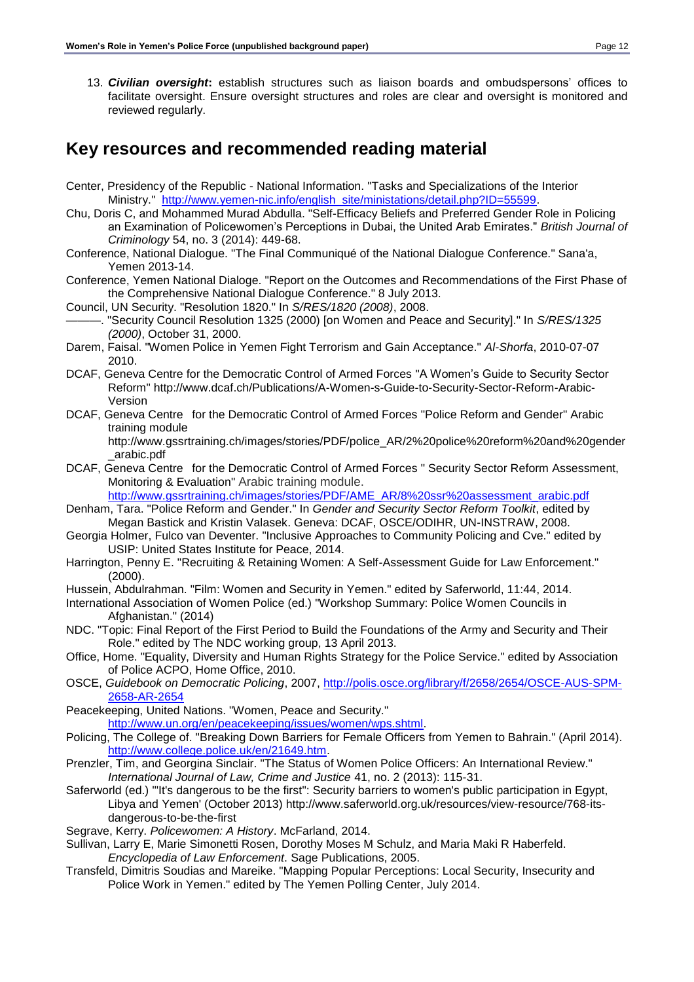13. *Civilian oversight***:** establish structures such as liaison boards and ombudspersons' offices to facilitate oversight. Ensure oversight structures and roles are clear and oversight is monitored and reviewed regularly.

# **Key resources and recommended reading material**

- Center, Presidency of the Republic National Information. "Tasks and Specializations of the Interior Ministry." [http://www.yemen-nic.info/english\\_site/ministations/detail.php?ID=55599.](http://www.yemen-nic.info/english_site/ministations/detail.php?ID=55599)
- Chu, Doris C, and Mohammed Murad Abdulla. "Self-Efficacy Beliefs and Preferred Gender Role in Policing an Examination of Policewomen's Perceptions in Dubai, the United Arab Emirates." *British Journal of Criminology* 54, no. 3 (2014): 449-68.
- Conference, National Dialogue. "The Final Communiqué of the National Dialogue Conference." Sana'a, Yemen 2013-14.
- Conference, Yemen National Dialoge. "Report on the Outcomes and Recommendations of the First Phase of the Comprehensive National Dialogue Conference." 8 July 2013.
- Council, UN Security. "Resolution 1820." In *S/RES/1820 (2008)*, 2008.
- ———. "Security Council Resolution 1325 (2000) [on Women and Peace and Security]." In *S/RES/1325 (2000)*, October 31, 2000.
- Darem, Faisal. "Women Police in Yemen Fight Terrorism and Gain Acceptance." *Al-Shorfa*, 2010-07-07 2010.
- DCAF, Geneva Centre for the Democratic Control of Armed Forces "A Women's Guide to Security Sector Reform" http://www.dcaf.ch/Publications/A-Women-s-Guide-to-Security-Sector-Reform-Arabic-Version
- DCAF, Geneva Centre for the Democratic Control of Armed Forces "Police Reform and Gender" Arabic training module

http://www.gssrtraining.ch/images/stories/PDF/police\_AR/2%20police%20reform%20and%20gender \_arabic.pdf

DCAF, Geneva Centre for the Democratic Control of Armed Forces " Security Sector Reform Assessment, Monitoring & Evaluation" Arabic training module.

[http://www.gssrtraining.ch/images/stories/PDF/AME\\_AR/8%20ssr%20assessment\\_arabic.pdf](http://www.gssrtraining.ch/images/stories/PDF/AME_AR/8%20ssr%20assessment_arabic.pdf)

- Denham, Tara. "Police Reform and Gender." In *Gender and Security Sector Reform Toolkit*, edited by Megan Bastick and Kristin Valasek. Geneva: DCAF, OSCE/ODIHR, UN-INSTRAW, 2008.
- Georgia Holmer, Fulco van Deventer. "Inclusive Approaches to Community Policing and Cve." edited by USIP: United States Institute for Peace, 2014.
- Harrington, Penny E. "Recruiting & Retaining Women: A Self-Assessment Guide for Law Enforcement." (2000).
- Hussein, Abdulrahman. "Film: Women and Security in Yemen." edited by Saferworld, 11:44, 2014.
- International Association of Women Police (ed.) "Workshop Summary: Police Women Councils in Afghanistan." (2014)
- NDC. "Topic: Final Report of the First Period to Build the Foundations of the Army and Security and Their Role." edited by The NDC working group, 13 April 2013.
- Office, Home. "Equality, Diversity and Human Rights Strategy for the Police Service." edited by Association of Police ACPO, Home Office, 2010.
- OSCE, *Guidebook on Democratic Policing*, 2007, [http://polis.osce.org/library/f/2658/2654/OSCE-AUS-SPM-](http://polis.osce.org/library/f/2658/2654/OSCE-AUS-SPM-2658-AR-2654)[2658-AR-2654](http://polis.osce.org/library/f/2658/2654/OSCE-AUS-SPM-2658-AR-2654)
- Peacekeeping, United Nations. "Women, Peace and Security." [http://www.un.org/en/peacekeeping/issues/women/wps.shtml.](http://www.un.org/en/peacekeeping/issues/women/wps.shtml)
- Policing, The College of. "Breaking Down Barriers for Female Officers from Yemen to Bahrain." (April 2014). [http://www.college.police.uk/en/21649.htm.](http://www.college.police.uk/en/21649.htm)
- Prenzler, Tim, and Georgina Sinclair. "The Status of Women Police Officers: An International Review." *International Journal of Law, Crime and Justice* 41, no. 2 (2013): 115-31.
- Saferworld (ed.) "'It's dangerous to be the first": Security barriers to women's public participation in Egypt, Libya and Yemen' (October 2013) http://www.saferworld.org.uk/resources/view-resource/768-itsdangerous-to-be-the-first
- Segrave, Kerry. *Policewomen: A History*. McFarland, 2014.
- Sullivan, Larry E, Marie Simonetti Rosen, Dorothy Moses M Schulz, and Maria Maki R Haberfeld. *Encyclopedia of Law Enforcement*. Sage Publications, 2005.
- Transfeld, Dimitris Soudias and Mareike. "Mapping Popular Perceptions: Local Security, Insecurity and Police Work in Yemen." edited by The Yemen Polling Center, July 2014.